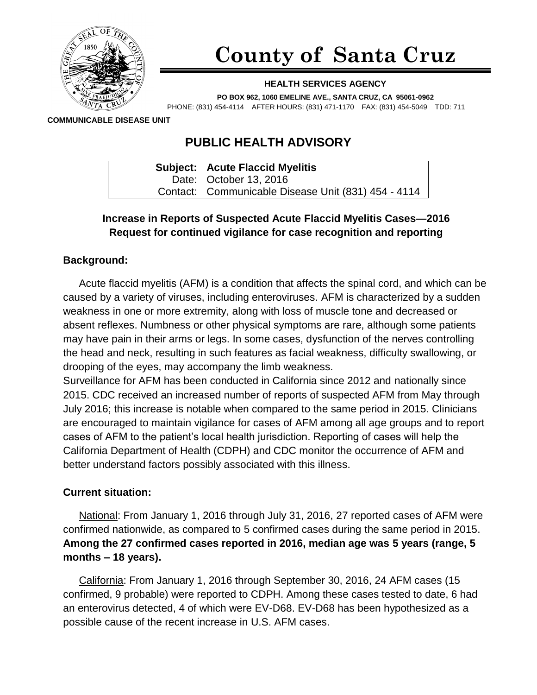

# **County of Santa Cruz**

#### **HEALTH SERVICES AGENCY**

**PO BOX 962, 1060 EMELINE AVE., SANTA CRUZ, CA 95061-0962** PHONE: (831) 454-4114 AFTER HOURS: (831) 471-1170 FAX: (831) 454-5049 TDD: 711

**COMMUNICABLE DISEASE UNIT**

# **PUBLIC HEALTH ADVISORY**

| <b>Subject: Acute Flaccid Myelitis</b>              |
|-----------------------------------------------------|
| Date: October 13, 2016                              |
| Contact: Communicable Disease Unit (831) 454 - 4114 |

# **Increase in Reports of Suspected Acute Flaccid Myelitis Cases—2016 Request for continued vigilance for case recognition and reporting**

## **Background:**

Acute flaccid myelitis (AFM) is a condition that affects the spinal cord, and which can be caused by a variety of viruses, including enteroviruses. AFM is characterized by a sudden weakness in one or more extremity, along with loss of muscle tone and decreased or absent reflexes. Numbness or other physical symptoms are rare, although some patients may have pain in their arms or legs. In some cases, dysfunction of the nerves controlling the head and neck, resulting in such features as facial weakness, difficulty swallowing, or drooping of the eyes, may accompany the limb weakness.

Surveillance for AFM has been conducted in California since 2012 and nationally since 2015. CDC received an increased number of reports of suspected AFM from May through July 2016; this increase is notable when compared to the same period in 2015. Clinicians are encouraged to maintain vigilance for cases of AFM among all age groups and to report cases of AFM to the patient's local health jurisdiction. Reporting of cases will help the California Department of Health (CDPH) and CDC monitor the occurrence of AFM and better understand factors possibly associated with this illness.

#### **Current situation:**

National: From January 1, 2016 through July 31, 2016, 27 reported cases of AFM were confirmed nationwide, as compared to 5 confirmed cases during the same period in 2015. **Among the 27 confirmed cases reported in 2016, median age was 5 years (range, 5 months – 18 years).**

California: From January 1, 2016 through September 30, 2016, 24 AFM cases (15 confirmed, 9 probable) were reported to CDPH. Among these cases tested to date, 6 had an enterovirus detected, 4 of which were EV-D68. EV-D68 has been hypothesized as a possible cause of the recent increase in U.S. AFM cases.